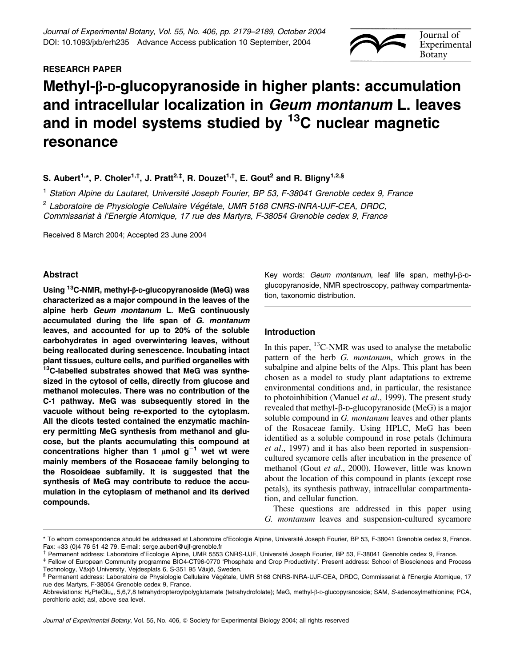

# $Methyl-B-p-glucopy$  randside in higher plants: accumulation and intracellular localization in Geum montanum L. leaves and in model systems studied by  $13C$  nuclear magnetic resonance

S. Aubert<sup>1,</sup>\*, P. Choler<sup>1,†</sup>, J. Pratt<sup>2,‡</sup>, R. Douzet<sup>1,†</sup>, E. Gout<sup>2</sup> and R. Bligny<sup>1,2,§</sup>

<sup>1</sup> Station Alpine du Lautaret, Université Joseph Fourier, BP 53, F-38041 Grenoble cedex 9, France

 $2$  Laboratoire de Physiologie Cellulaire Végétale, UMR 5168 CNRS-INRA-UJF-CEA, DRDC,

Commissariat à l'Energie Atomique, 17 rue des Martyrs, F-38054 Grenoble cedex 9, France

Received 8 March 2004; Accepted 23 June 2004

## Abstract

Using  $13C-<sub>NMR</sub>$ , methyl- $\beta$ -D-glucopyranoside (MeG) was characterized as a major compound in the leaves of the alpine herb Geum montanum L. MeG continuously accumulated during the life span of G. montanum leaves, and accounted for up to 20% of the soluble carbohydrates in aged overwintering leaves, without being reallocated during senescence. Incubating intact plant tissues, culture cells, and purified organelles with <sup>13</sup>C-labelled substrates showed that MeG was synthesized in the cytosol of cells, directly from glucose and methanol molecules. There was no contribution of the C-1 pathway. MeG was subsequently stored in the vacuole without being re-exported to the cytoplasm. All the dicots tested contained the enzymatic machinery permitting MeG synthesis from methanol and glucose, but the plants accumulating this compound at concentrations higher than 1  $\mu$ mol g<sup>-1</sup> wet wt were mainly members of the Rosaceae family belonging to the Rosoideae subfamily. It is suggested that the synthesis of MeG may contribute to reduce the accumulation in the cytoplasm of methanol and its derived compounds.

Key words: Geum montanum, leaf life span, methyl-*b*-Dglucopyranoside, NMR spectroscopy, pathway compartmentation, taxonomic distribution.

# Introduction

In this paper,  ${}^{13}$ C-NMR was used to analyse the metabolic pattern of the herb G. *montanum*, which grows in the subalpine and alpine belts of the Alps. This plant has been chosen as a model to study plant adaptations to extreme environmental conditions and, in particular, the resistance to photoinhibition (Manuel *et al.*, 1999). The present study revealed that methyl- $\beta$ -D-glucopyranoside (MeG) is a major soluble compound in G. montanum leaves and other plants of the Rosaceae family. Using HPLC, MeG has been identified as a soluble compound in rose petals (Ichimura et al., 1997) and it has also been reported in suspensioncultured sycamore cells after incubation in the presence of methanol (Gout et al., 2000). However, little was known about the location of this compound in plants (except rose petals), its synthesis pathway, intracellular compartmentation, and cellular function.

These questions are addressed in this paper using G. montanum leaves and suspension-cultured sycamore

Journal of Experimental Botany, Vol. 55, No. 406, *ª* Society for Experimental Biology 2004; all rights reserved



<sup>\*</sup> To whom correspondence should be addressed at Laboratoire d'Ecologie Alpine, Université Joseph Fourier, BP 53, F-38041 Grenoble cedex 9, France. Fax: +33 (0)4 76 51 42 79. E-mail: serge.aubert@ujf-grenoble.fr<br><sup>†</sup> Permanent address: Laboratoire d'Ecologie Alpine. UMR 5553 CNRS-UJF. Université Joseph Fourier. BP 53. F-38041 Grenoble cedex 9. France.

<sup>#</sup> Fellow of European Community programme BIO4-CT96-0770 'Phosphate and Crop Productivity'. Present address: School of Biosciences and Process Technology, Växjö University, Vejdesplats 6, S-351 95 Växjö, Sweden.

<sup>§</sup> Permanent address: Laboratoire de Physiologie Cellulaire Végétale, UMR 5168 CNRS-INRA-UJF-CEA, DRDC, Commissariat à l'Energie Atomique, 17 rue des Martyrs, F-38054 Grenoble cedex 9, France.

Abbreviations: H<sub>4</sub>PteGlu<sub>n</sub>, 5,6,7,8 tetrahydropteroylpolyglutamate (tetrahydrofolate); MeG, methyl-ß-D-glucopyranoside; SAM, S-adenosylmethionine; PCA, perchloric acid; asl, above sea level.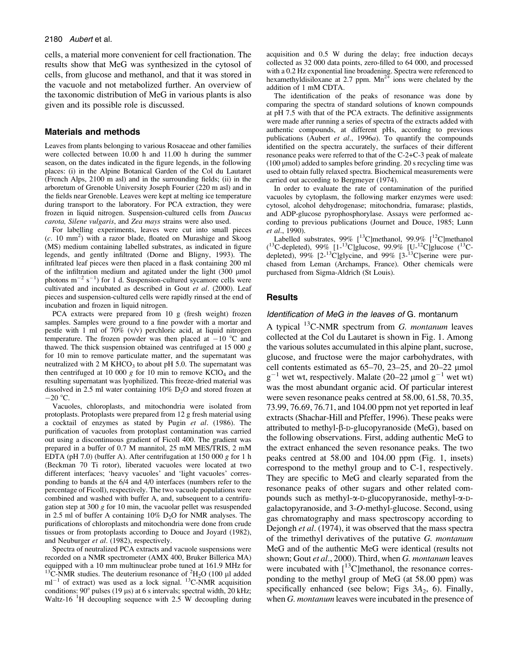cells, a material more convenient for cell fractionation. The results show that MeG was synthesized in the cytosol of cells, from glucose and methanol, and that it was stored in the vacuole and not metabolized further. An overview of the taxonomic distribution of MeG in various plants is also given and its possible role is discussed.

#### Materials and methods

Leaves from plants belonging to various Rosaceae and other families were collected between 10.00 h and 11.00 h during the summer season, on the dates indicated in the figure legends, in the following places: (i) in the Alpine Botanical Garden of the Col du Lautaret (French Alps, 2100 m asl) and in the surrounding fields; (ii) in the arboretum of Grenoble University Joseph Fourier (220 m asl) and in the fields near Grenoble. Leaves were kept at melting ice temperature during transport to the laboratory. For PCA extraction, they were frozen in liquid nitrogen. Suspension-cultured cells from Daucus carota, Silene vulgaris, and Zea mays strains were also used.

For labelling experiments, leaves were cut into small pieces  $(c. 10 \text{ mm}^2)$  with a razor blade, floated on Murashige and Skoog (MS) medium containing labelled substrates, as indicated in figure legends, and gently infiltrated (Dorne and Bligny, 1993). The infiltrated leaf pieces were then placed in a flask containing 200 ml of the infiltration medium and agitated under the light  $(300 \text{ µmol})$ photons  $m^{-2}$  s<sup>-1</sup>) for 1 d. Suspension-cultured sycamore cells were cultivated and incubated as described in Gout et al. (2000). Leaf pieces and suspension-cultured cells were rapidly rinsed at the end of incubation and frozen in liquid nitrogen.

PCA extracts were prepared from 10 g (fresh weight) frozen samples. Samples were ground to a fine powder with a mortar and pestle with 1 ml of 70% (v/v) perchloric acid, at liquid nitrogen temperature. The frozen powder was then placed at  $-10$  °C and thawed. The thick suspension obtained was centrifuged at 15 000  $g$ for 10 min to remove particulate matter, and the supernatant was neutralized with 2 M  $KHCO<sub>3</sub>$  to about pH 5.0. The supernatant was then centrifuged at 10 000 g for 10 min to remove  $KClO<sub>4</sub>$  and the resulting supernatant was lyophilized. This freeze-dried material was dissolved in 2.5 ml water containing  $10\%$   $D_2O$  and stored frozen at  $-20$  °C.

Vacuoles, chloroplasts, and mitochondria were isolated from protoplasts. Protoplasts were prepared from 12 g fresh material using a cocktail of enzymes as stated by Pugin et al. (1986). The purification of vacuoles from protoplast contamination was carried out using a discontinuous gradient of Ficoll 400. The gradient was prepared in a buffer of 0.7 M mannitol, 25 mM MES/TRIS, 2 mM EDTA (pH 7.0) (buffer A). After centrifugation at  $150\ 000\ g$  for 1 h (Beckman 70 Ti rotor), liberated vacuoles were located at two different interfaces; 'heavy vacuoles' and 'light vacuoles' corresponding to bands at the 6/4 and 4/0 interfaces (numbers refer to the percentage of Ficoll), respectively. The two vacuole populations were combined and washed with buffer A, and, subsequent to a centrifugation step at 300  $g$  for 10 min, the vacuolar pellet was resuspended in 2.5 ml of buffer A containing  $10\%$   $D_2O$  for NMR analyses. The purifications of chloroplasts and mitochondria were done from crude tissues or from protoplasts according to Douce and Joyard (1982), and Neuburger et al. (1982), respectively.

Spectra of neutralized PCA extracts and vacuole suspensions were recorded on a NMR spectrometer (AMX 400, Bruker Billerica MA) equipped with a 10 mm multinuclear probe tuned at 161.9 MHz for  $^{13}$ C-NMR studies. The deuterium resonance of  $^{2}$ H<sub>2</sub>O (100 µl added ml<sup>-1</sup> of extract) was used as a lock signal. <sup>13</sup>C-NMR acquisition conditions:  $90^{\circ}$  pulses (19 µs) at 6 s intervals; spectral width, 20 kHz; Waltz-16<sup> $1$ </sup>H decoupling sequence with 2.5 W decoupling during

acquisition and 0.5 W during the delay; free induction decays collected as 32 000 data points, zero-filled to 64 000, and processed with a 0.2 Hz exponential line broadening. Spectra were referenced to hexamethyldisiloxane at 2.7 ppm. Mn<sup>2+</sup> ions were chelated by the addition of 1 mM CDTA.

The identification of the peaks of resonance was done by comparing the spectra of standard solutions of known compounds at pH 7.5 with that of the PCA extracts. The definitive assignments were made after running a series of spectra of the extracts added with authentic compounds, at different pHs, according to previous publications (Aubert *et al.*, 1996*a*). To quantify the compounds identified on the spectra accurately, the surfaces of their different resonance peaks were referred to that of the C-2+C-3 peak of maleate ( $100 \mu$ mol) added to samples before grinding.  $20$  s recycling time was used to obtain fully relaxed spectra. Biochemical measurements were carried out according to Bergmeyer (1974).

In order to evaluate the rate of contamination of the purified vacuoles by cytoplasm, the following marker enzymes were used: cytosol, alcohol dehydrogenase; mitochondria, fumarase; plastids, and ADP-glucose pyrophosphorylase. Assays were performed according to previous publications (Journet and Douce, 1985; Lunn et al., 1990).

Labelled substrates, 99%  $[$ <sup>13</sup>C]methanol, 99.9%  $[$ <sup>12</sup>C]methanol  $(^{13}$ C-depleted), 99% [1-<sup>13</sup>C]glucose, 99.9% [U-<sup>12</sup>C]glucose  $(^{13}$ Cdepleted),  $99\%$  [2<sup>-13</sup>C]glycine, and  $99\%$  [3<sup>-13</sup>C]serine were purchased from Leman (Archamps, France). Other chemicals were purchased from Sigma-Aldrich (St Louis).

## **Results**

### Identification of MeG in the leaves of G. montanum

A typical  $^{13}$ C-NMR spectrum from *G. montanum* leaves collected at the Col du Lautaret is shown in Fig. 1. Among the various solutes accumulated in this alpine plant, sucrose, glucose, and fructose were the major carbohydrates, with cell contents estimated as  $65-70$ ,  $23-25$ , and  $20-22$  µmol  $g^{-1}$  wet wt, respectively. Malate (20–22 µmol  $g^{-1}$  wet wt) was the most abundant organic acid. Of particular interest were seven resonance peaks centred at 58.00, 61.58, 70.35, 73.99, 76.69, 76.71, and 104.00 ppm not yet reported in leaf extracts (Shachar-Hill and Pfeffer, 1996). These peaks were attributed to methyl- $\beta$ -D-glucopyranoside (MeG), based on the following observations. First, adding authentic MeG to the extract enhanced the seven resonance peaks. The two peaks centred at 58.00 and 104.00 ppm (Fig. 1, insets) correspond to the methyl group and to C-1, respectively. They are specific to MeG and clearly separated from the resonance peaks of other sugars and other related compounds such as methyl- $\alpha$ -D-glucopyranoside, methyl- $\alpha$ -Dgalactopyranoside, and 3-O-methyl-glucose. Second, using gas chromatography and mass spectroscopy according to Dejongh et al. (1974), it was observed that the mass spectra of the trimethyl derivatives of the putative G. montanum MeG and of the authentic MeG were identical (results not shown; Gout et al., 2000). Third, when G. montanum leaves were incubated with  $[$ <sup>13</sup>C]methanol, the resonance corresponding to the methyl group of MeG (at 58.00 ppm) was specifically enhanced (see below; Figs  $3A_2$ , 6). Finally, when *G. montanum* leaves were incubated in the presence of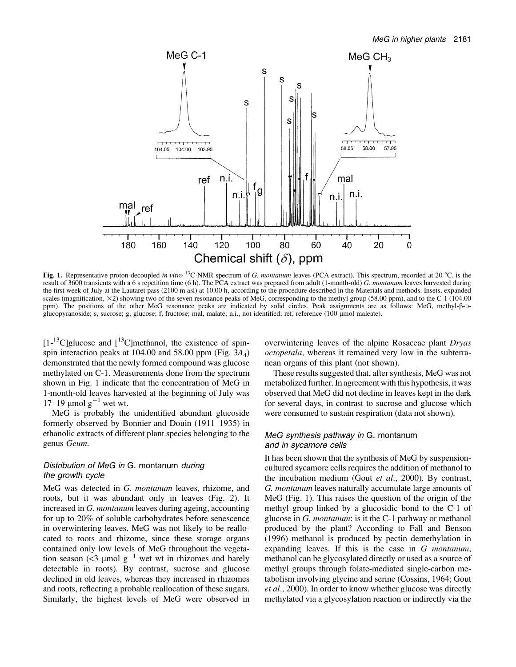

Fig. 1. Representative proton-decoupled in vitro <sup>13</sup>C-NMR spectrum of G. montanum leaves (PCA extract). This spectrum, recorded at 20 °C, is the result of 3600 transients with a 6 s repetition time (6 h). The PCA extract was prepared from adult (1-month-old) G. montanum leaves harvested during the first week of July at the Lautaret pass (2100 m asl) at 10.00 h, according to the procedure described in the Materials and methods. Insets, expanded scales (magnification,  $\times$ 2) showing two of the seven resonance peaks of MeG, corresponding to the methyl group (58.00 ppm), and to the C-1 (104.00 ppm). The positions of the other MeG resonance peaks are indicated by solid circles. Peak assignments are as follows: MeG, methyl- $\beta$ -Dglucopyranoside; s, sucrose; g, glucose; f, fructose; mal, malate; n.i., not identified; ref, reference (100 µmol maleate).

 $[1^{-13}C]$ glucose and  $[1^{13}C]$ methanol, the existence of spinspin interaction peaks at 104.00 and 58.00 ppm (Fig.  $3A_4$ ) demonstrated that the newly formed compound was glucose methylated on C-1. Measurements done from the spectrum shown in Fig. 1 indicate that the concentration of MeG in 1-month-old leaves harvested at the beginning of July was 17–19  $\mu$ mol  $g^{-1}$  wet wt.

MeG is probably the unidentified abundant glucoside formerly observed by Bonnier and Douin (1911–1935) in ethanolic extracts of different plant species belonging to the genus Geum.

## Distribution of MeG in G. montanum during the growth cycle

MeG was detected in G. montanum leaves, rhizome, and roots, but it was abundant only in leaves (Fig. 2). It increased in G. montanum leaves during ageing, accounting for up to 20% of soluble carbohydrates before senescence in overwintering leaves. MeG was not likely to be reallocated to roots and rhizome, since these storage organs contained only low levels of MeG throughout the vegetation season (<3 µmol  $g^{-1}$  wet wt in rhizomes and barely detectable in roots). By contrast, sucrose and glucose declined in old leaves, whereas they increased in rhizomes and roots, reflecting a probable reallocation of these sugars. Similarly, the highest levels of MeG were observed in

overwintering leaves of the alpine Rosaceae plant Dryas octopetala, whereas it remained very low in the subterranean organs of this plant (not shown).

These results suggested that, after synthesis, MeG was not metabolized further. In agreement with this hypothesis, it was observed that MeG did not decline in leaves kept in the dark for several days, in contrast to sucrose and glucose which were consumed to sustain respiration (data not shown).

#### MeG synthesis pathway in G. montanum and in sycamore cells

It has been shown that the synthesis of MeG by suspensioncultured sycamore cells requires the addition of methanol to the incubation medium (Gout et al., 2000). By contrast, G. montanum leaves naturally accumulate large amounts of MeG (Fig. 1). This raises the question of the origin of the methyl group linked by a glucosidic bond to the C-1 of glucose in G. montanum: is it the C-1 pathway or methanol produced by the plant? According to Fall and Benson (1996) methanol is produced by pectin demethylation in expanding leaves. If this is the case in G *montanum*, methanol can be glycosylated directly or used as a source of methyl groups through folate-mediated single-carbon metabolism involving glycine and serine (Cossins, 1964; Gout et al., 2000). In order to know whether glucose was directly methylated via a glycosylation reaction or indirectly via the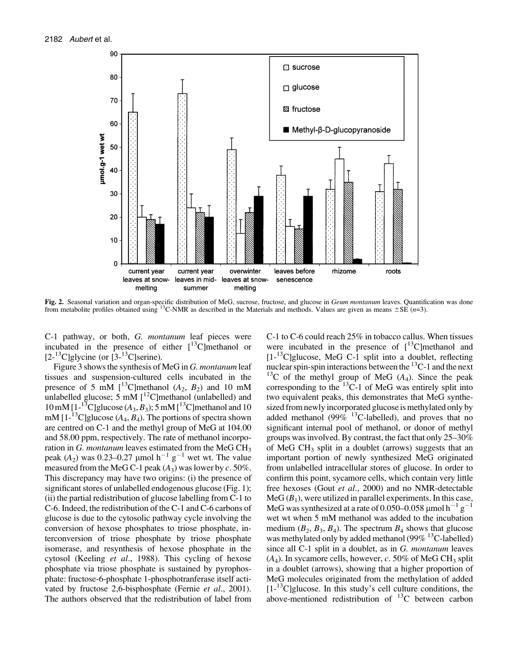

Fig. 2. Seasonal variation and organ-specific distribution of MeG, sucrose, fructose, and glucose in Geum montanum leaves. Quantification was done from metabolite profiles obtained using <sup>13</sup>C-NMR as described in the Materials and methods. Values are given as means  $\pm$  SE (n=3).

C-1 pathway, or both, G. montanum leaf pieces were incubated in the presence of either  $\int_{0}^{13}$ C]methanol or  $[2^{-13}C]$ glycine (or  $[3^{-13}C]$ serine).

Figure 3 shows the synthesis of MeG in G. montanum leaf tissues and suspension-cultured cells incubated in the presence of 5 mM  $\left[\right]$ <sup>13</sup>C]methanol (A<sub>2</sub>, B<sub>2</sub>) and 10 mM unlabelled glucose;  $5 \text{ mM}$   $\left[\text{ }^{12}\text{C}\right]$ methanol (unlabelled) and 10 mM  $[1 - {^{13}C}]$ glucose  $(A_3, B_3)$ ; 5 mM  $[1 - {^{13}C}]$ methanol and 10 mM  $[1-13C]$ glucose  $(A_4, B_4)$ . The portions of spectra shown are centred on C-1 and the methyl group of MeG at 104.00 and 58.00 ppm, respectively. The rate of methanol incorporation in G. montanum leaves estimated from the MeG CH<sub>3</sub> peak (A<sub>2</sub>) was 0.23–0.27 µmol h<sup>-1</sup> g<sup>-1</sup> wet wt. The value measured from the MeG C-1 peak  $(A_3)$  was lower by c. 50%. This discrepancy may have two origins: (i) the presence of significant stores of unlabelled endogenous glucose (Fig. 1); (ii) the partial redistribution of glucose labelling from C-1 to C-6. Indeed, the redistribution of the C-1 and C-6 carbons of glucose is due to the cytosolic pathway cycle involving the conversion of hexose phosphates to triose phosphate, interconversion of triose phosphate by triose phosphate isomerase, and resynthesis of hexose phosphate in the cytosol (Keeling et al., 1988). This cycling of hexose phosphate via triose phosphate is sustained by pyrophosphate: fructose-6-phosphate 1-phosphotranferase itself activated by fructose 2,6-bisphosphate (Fernie et al., 2001). The authors observed that the redistribution of label from

C-1 to C-6 could reach 25% in tobacco callus. When tissues were incubated in the presence of  $[^{13}C]$ methanol and  $[1<sup>13</sup>C]$ glucose, MeG C-1 split into a doublet, reflecting nuclear spin-spin interactions between the  $^{13}C-1$  and the next <sup>13</sup>C of the methyl group of MeG  $(A_4)$ . Since the peak corresponding to the  $^{13}$ C-1 of MeG was entirely split into two equivalent peaks, this demonstrates that MeG synthesized from newly incorporated glucose is methylated only by added methanol (99%  $^{13}$ C-labelled), and proves that no significant internal pool of methanol, or donor of methyl groups was involved. By contrast, the fact that only 25–30% of MeG  $CH_3$  split in a doublet (arrows) suggests that an important portion of newly synthesized MeG originated from unlabelled intracellular stores of glucose. In order to confirm this point, sycamore cells, which contain very little free hexoses (Gout et al., 2000) and no NMR-detectable  $\text{MeG}(B_1)$ , were utilized in parallel experiments. In this case, MeG was synthesized at a rate of 0.050–0.058  $\mu$ mol h<sup>-1</sup> g<sup>-1</sup> wet wt when 5 mM methanol was added to the incubation medium  $(B_2, B_3, B_4)$ . The spectrum  $B_4$  shows that glucose was methylated only by added methanol (99%  $^{13}$ C-labelled) since all C-1 split in a doublet, as in G. montanum leaves  $(A_4)$ . In sycamore cells, however, c. 50% of MeG CH<sub>3</sub> split in a doublet (arrows), showing that a higher proportion of MeG molecules originated from the methylation of added  $[1<sup>13</sup>C]$ glucose. In this study's cell culture conditions, the above-mentioned redistribution of  $^{13}$ C between carbon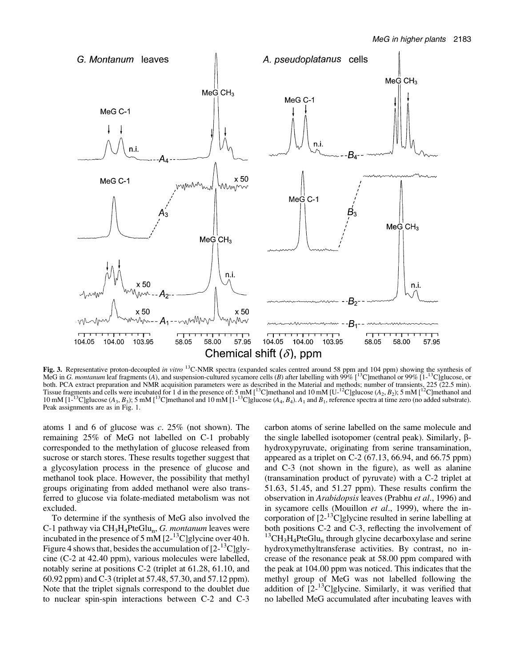

Fig. 3. Representative proton-decoupled in vitro <sup>13</sup>C-NMR spectra (expanded scales centred around 58 ppm and 104 ppm) showing the synthesis of MeG in G. montanum leaf fragments (A), and suspension-cultured sycamore cells (B) after labelling with 99%  $[1^3C]$ methanol or 99%  $[1^{-13}C]$ glucose, or both. PCA extract preparation and NMR acquisition parameters were as described in the Material and methods; number of transients, 225 (22.5 min). Tissue fragments and cells were incubated for 1 d in the presence of: 5 mM [<sup>13</sup>C]methanol and 10 mM [U<sup>-12</sup>C]glucose ( $A_2$ ,  $B_2$ ); 5 mM [<sup>12</sup>C]methanol and 10 mM  $[1]$ <sup>-13</sup>C]glucose (A<sub>3</sub>, B<sub>3</sub>); 5 mM  $[$ <sup>13</sup>C]methanol and 10 mM  $[1]$ -<sup>13</sup>C]glucose (A<sub>4</sub>, B<sub>4</sub>). A<sub>1</sub> and B<sub>1</sub>, reference spectra at time zero (no added substrate). Peak assignments are as in Fig. 1.

atoms 1 and 6 of glucose was  $c$ . 25% (not shown). The remaining 25% of MeG not labelled on C-1 probably corresponded to the methylation of glucose released from sucrose or starch stores. These results together suggest that a glycosylation process in the presence of glucose and methanol took place. However, the possibility that methyl groups originating from added methanol were also transferred to glucose via folate-mediated metabolism was not excluded.

To determine if the synthesis of MeG also involved the C-1 pathway via  $CH_3H_4P$ teGlu<sub>n</sub>, G. montanum leaves were incubated in the presence of 5 mM [2-13C]glycine over 40 h. Figure 4 shows that, besides the accumulation of  $[2^{-13}C]$ glycine (C-2 at 42.40 ppm), various molecules were labelled, notably serine at positions C-2 (triplet at 61.28, 61.10, and 60.92 ppm) and C-3 (triplet at 57.48, 57.30, and 57.12 ppm). Note that the triplet signals correspond to the doublet due to nuclear spin-spin interactions between C-2 and C-3

carbon atoms of serine labelled on the same molecule and the single labelled isotopomer (central peak). Similarly,  $\beta$ hydroxypyruvate, originating from serine transamination, appeared as a triplet on  $C<sub>-2</sub>$  (67.13, 66.94, and 66.75 ppm) and C-3 (not shown in the figure), as well as alanine (transamination product of pyruvate) with a C-2 triplet at 51.63, 51.45, and 51.27 ppm). These results confirm the observation in Arabidopsis leaves (Prabhu et al., 1996) and in sycamore cells (Mouillon et al., 1999), where the incorporation of  $[2^{-13}C]$ glycine resulted in serine labelling at both positions C-2 and C-3, reflecting the involvement of  ${}^{13}CH_3H_4$ PteGlu<sub>n</sub> through glycine decarboxylase and serine hydroxymethyltransferase activities. By contrast, no increase of the resonance peak at 58.00 ppm compared with the peak at 104.00 ppm was noticed. This indicates that the methyl group of MeG was not labelled following the addition of  $[2^{-13}C]$ glycine. Similarly, it was verified that no labelled MeG accumulated after incubating leaves with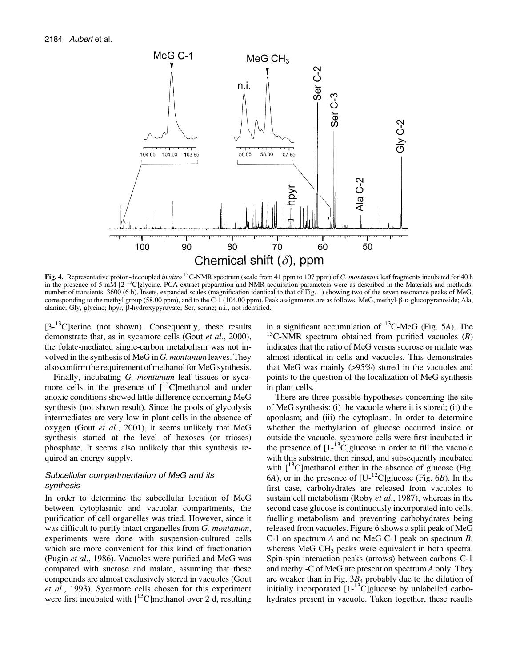

**Fig. 4.** Representative proton-decoupled in vitro <sup>13</sup>C-NMR spectrum (scale from 41 ppm to 107 ppm) of G. montanum leaf fragments incubated for 40 h in the presence of 5 mM [2<sup>-13</sup>C]glycine. PCA extract preparation and NMR acquisition parameters were as described in the Materials and methods; number of transients, 3600 (6 h). Insets, expanded scales (magnification identical to that of Fig. 1) showing two of the seven resonance peaks of MeG, corresponding to the methyl group (58.00 ppm), and to the C-1 (104.00 ppm). Peak assignments are as follows: MeG, methyl- $\beta$ -D-glucopyranoside; Ala, alanine; Gly, glycine; hpyr, β-hydroxypyruvate; Ser, serine; n.i., not identified.

 $[3<sup>13</sup>C]$ serine (not shown). Consequently, these results demonstrate that, as in sycamore cells (Gout et al., 2000), the folate-mediated single-carbon metabolism was not involved in the synthesis of MeG in G. montanum leaves. They also confirm the requirement of methanol for MeG synthesis.

Finally, incubating G. montanum leaf tissues or sycamore cells in the presence of  $\int^{13}$ C]methanol and under anoxic conditions showed little difference concerning MeG synthesis (not shown result). Since the pools of glycolysis intermediates are very low in plant cells in the absence of oxygen (Gout et al., 2001), it seems unlikely that MeG synthesis started at the level of hexoses (or trioses) phosphate. It seems also unlikely that this synthesis required an energy supply.

# Subcellular compartmentation of MeG and its synthesis

In order to determine the subcellular location of MeG between cytoplasmic and vacuolar compartments, the purification of cell organelles was tried. However, since it was difficult to purify intact organelles from G. *montanum*, experiments were done with suspension-cultured cells which are more convenient for this kind of fractionation (Pugin et al., 1986). Vacuoles were purified and MeG was compared with sucrose and malate, assuming that these compounds are almost exclusively stored in vacuoles (Gout et al., 1993). Sycamore cells chosen for this experiment were first incubated with  $\int^{13}$ C]methanol over 2 d, resulting in a significant accumulation of  $^{13}$ C-MeG (Fig. 5A). The <sup>13</sup>C-NMR spectrum obtained from purified vacuoles  $(B)$ indicates that the ratio of MeG versus sucrose or malate was almost identical in cells and vacuoles. This demonstrates that MeG was mainly (>95%) stored in the vacuoles and points to the question of the localization of MeG synthesis in plant cells.

There are three possible hypotheses concerning the site of MeG synthesis: (i) the vacuole where it is stored; (ii) the apoplasm; and (iii) the cytoplasm. In order to determine whether the methylation of glucose occurred inside or outside the vacuole, sycamore cells were first incubated in the presence of  $[1^{-13}C]$ glucose in order to fill the vacuole with this substrate, then rinsed, and subsequently incubated with  $[13C]$ methanol either in the absence of glucose (Fig. 6A), or in the presence of  $[U^{-12}C]$ glucose (Fig. 6B). In the first case, carbohydrates are released from vacuoles to sustain cell metabolism (Roby et al., 1987), whereas in the second case glucose is continuously incorporated into cells, fuelling metabolism and preventing carbohydrates being released from vacuoles. Figure 6 shows a split peak of MeG C-1 on spectrum  $A$  and no MeG C-1 peak on spectrum  $B$ , whereas MeG  $CH<sub>3</sub>$  peaks were equivalent in both spectra. Spin-spin interaction peaks (arrows) between carbons C-1 and methyl-C of MeG are present on spectrum A only. They are weaker than in Fig.  $3B_4$  probably due to the dilution of initially incorporated  $[1 - 13C]$ glucose by unlabelled carbohydrates present in vacuole. Taken together, these results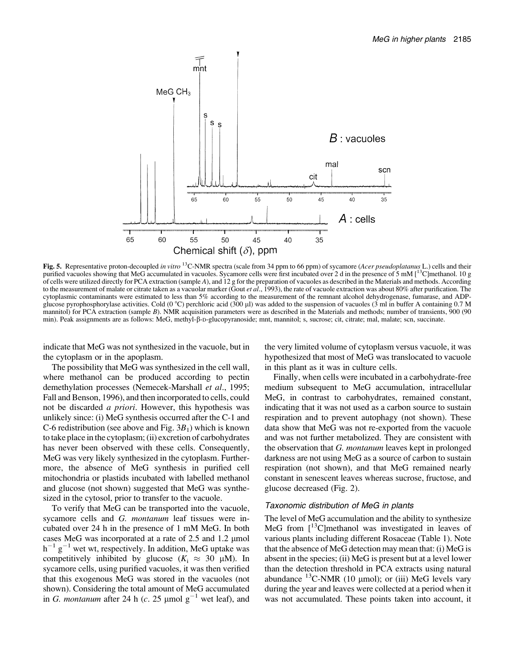

Fig. 5. Representative proton-decoupled in vitro <sup>13</sup>C-NMR spectra (scale from 34 ppm to 66 ppm) of sycamore (*Acer pseudoplatanus* L.) cells and their purified vacuoles showing that MeG accumulated in vacuoles. Sycamore cells were first incubated over 2 d in the presence of 5 mM  $1^{13}$ Clmethanol. 10 g of cells were utilized directly for PCA extraction (sample A), and 12 g for the preparation of vacuoles as described in the Materials and methods. According to the measurement of malate or citrate taken as a vacuolar marker (Gout *et al.*, 1993), the rate of vacuole extraction was about 80% after purification. The cytoplasmic contaminants were estimated to less than 5% according to the measurement of the remnant alcohol dehydrogenase, fumarase, and ADPglucose pyrophosphorylase activities. Cold (0 °C) perchloric acid (300 µl) was added to the suspension of vacuoles (3 ml in buffer A containing 0.7 M mannitol) for PCA extraction (sample B). NMR acquisition parameters were as described in the Materials and methods; number of transients, 900 (90) min). Peak assignments are as follows: MeG, methyl- $\beta$ -D-glucopyranoside; mnt, mannitol; s, sucrose; cit, citrate; mal, malate; scn, succinate.

indicate that MeG was not synthesized in the vacuole, but in the cytoplasm or in the apoplasm.

The possibility that MeG was synthesized in the cell wall, where methanol can be produced according to pectin demethylation processes (Nemecek-Marshall et al., 1995; Fall and Benson, 1996), and then incorporated to cells, could not be discarded a priori. However, this hypothesis was unlikely since: (i) MeG synthesis occurred after the C-1 and C-6 redistribution (see above and Fig.  $3B_1$ ) which is known to take place in the cytoplasm; (ii) excretion of carbohydrates has never been observed with these cells. Consequently, MeG was very likely synthesized in the cytoplasm. Furthermore, the absence of MeG synthesis in purified cell mitochondria or plastids incubated with labelled methanol and glucose (not shown) suggested that MeG was synthesized in the cytosol, prior to transfer to the vacuole.

To verify that MeG can be transported into the vacuole, sycamore cells and G. montanum leaf tissues were incubated over 24 h in the presence of 1 mM MeG. In both cases MeG was incorporated at a rate of  $2.5$  and  $1.2 \mu$ mol  $h^{-1}$  g<sup>-1</sup> wet wt, respectively. In addition, MeG uptake was competitively inhibited by glucose  $(K_i \approx 30 \mu M)$ . In sycamore cells, using purified vacuoles, it was then verified that this exogenous MeG was stored in the vacuoles (not shown). Considering the total amount of MeG accumulated in G. *montanum* after 24 h (c. 25 µmol  $g^{-1}$  wet leaf), and

the very limited volume of cytoplasm versus vacuole, it was hypothesized that most of MeG was translocated to vacuole in this plant as it was in culture cells.

Finally, when cells were incubated in a carbohydrate-free medium subsequent to MeG accumulation, intracellular MeG, in contrast to carbohydrates, remained constant, indicating that it was not used as a carbon source to sustain respiration and to prevent autophagy (not shown). These data show that MeG was not re-exported from the vacuole and was not further metabolized. They are consistent with the observation that G. montanum leaves kept in prolonged darkness are not using MeG as a source of carbon to sustain respiration (not shown), and that MeG remained nearly constant in senescent leaves whereas sucrose, fructose, and glucose decreased (Fig. 2).

# Taxonomic distribution of MeG in plants

The level of MeG accumulation and the ability to synthesize MeG from  $1^{13}$ C methanol was investigated in leaves of various plants including different Rosaceae (Table 1). Note that the absence of MeG detection may mean that: (i) MeG is absent in the species; (ii) MeG is present but at a level lower than the detection threshold in PCA extracts using natural abundance  ${}^{13}$ C-NMR (10 µmol); or (iii) MeG levels vary during the year and leaves were collected at a period when it was not accumulated. These points taken into account, it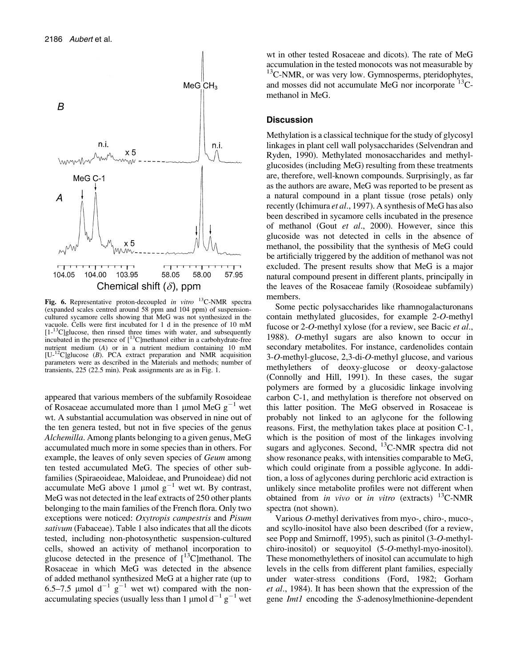

Fig. 6. Representative proton-decoupled in vitro  $^{13}$ C-NMR spectra (expanded scales centred around 58 ppm and 104 ppm) of suspensioncultured sycamore cells showing that MeG was not synthesized in the vacuole. Cells were first incubated for 1 d in the presence of 10 mM  $[1 - 13C]$ glucose, then rinsed three times with water, and subsequently incubated in the presence of [13C]methanol either in a carbohydrate-free nutrient medium (A) or in a nutrient medium containing 10 mM  $[U<sup>-12</sup>C]$ glucose (B). PCA extract preparation and NMR acquisition parameters were as described in the Materials and methods; number of transients, 225 (22.5 min). Peak assignments are as in Fig. 1.

appeared that various members of the subfamily Rosoideae of Rosaceae accumulated more than 1  $\mu$ mol MeG  $g^{-1}$  wet wt. A substantial accumulation was observed in nine out of the ten genera tested, but not in five species of the genus Alchemilla. Among plants belonging to a given genus, MeG accumulated much more in some species than in others. For example, the leaves of only seven species of *Geum* among ten tested accumulated MeG. The species of other subfamilies (Spiraeoideae, Maloideae, and Prunoideae) did not accumulate MeG above 1 µmol  $g^{-1}$  wet wt. By contrast, MeG was not detected in the leaf extracts of 250 other plants belonging to the main families of the French flora. Only two exceptions were noticed: Oxytropis campestris and Pisum sativum (Fabaceae). Table 1 also indicates that all the dicots tested, including non-photosynthetic suspension-cultured cells, showed an activity of methanol incorporation to glucose detected in the presence of  $[^{13}C]$ methanol. The Rosaceae in which MeG was detected in the absence of added methanol synthesized MeG at a higher rate (up to 6.5–7.5 µmol  $d^{-1}$  g<sup>-1</sup> wet wt) compared with the nonaccumulating species (usually less than 1 µmol  $d^{-1} g^{-1}$  wet

wt in other tested Rosaceae and dicots). The rate of MeG accumulation in the tested monocots was not measurable by  $13^{\circ}$ C-NMR, or was very low. Gymnosperms, pteridophytes, and mosses did not accumulate MeG nor incorporate  $^{13}$ Cmethanol in MeG.

## **Discussion**

Methylation is a classical technique for the study of glycosyl linkages in plant cell wall polysaccharides (Selvendran and Ryden, 1990). Methylated monosaccharides and methylglucosides (including MeG) resulting from these treatments are, therefore, well-known compounds. Surprisingly, as far as the authors are aware, MeG was reported to be present as a natural compound in a plant tissue (rose petals) only recently (Ichimura et al., 1997). A synthesis of MeG has also been described in sycamore cells incubated in the presence of methanol (Gout et al., 2000). However, since this glucoside was not detected in cells in the absence of methanol, the possibility that the synthesis of MeG could be artificially triggered by the addition of methanol was not excluded. The present results show that MeG is a major natural compound present in different plants, principally in the leaves of the Rosaceae family (Rosoideae subfamily) members.

Some pectic polysaccharides like rhamnogalacturonans contain methylated glucosides, for example 2-O-methyl fucose or 2-*O*-methyl xylose (for a review, see Bacic *et al.*, 1988). O-methyl sugars are also known to occur in secondary metabolites. For instance, cardenolides contain 3-O-methyl-glucose, 2,3-di-O-methyl glucose, and various methylethers of deoxy-glucose or deoxy-galactose (Connolly and Hill, 1991). In these cases, the sugar polymers are formed by a glucosidic linkage involving carbon C-1, and methylation is therefore not observed on this latter position. The MeG observed in Rosaceae is probably not linked to an aglycone for the following reasons. First, the methylation takes place at position C-1, which is the position of most of the linkages involving sugars and aglycones. Second,  $^{13}$ C-NMR spectra did not show resonance peaks, with intensities comparable to MeG, which could originate from a possible aglycone. In addition, a loss of aglycones during perchloric acid extraction is unlikely since metabolite profiles were not different when obtained from in vivo or in vitro (extracts)  $^{13}$ C-NMR spectra (not shown).

Various O-methyl derivatives from myo-, chiro-, muco-, and scyllo-inositol have also been described (for a review, see Popp and Smirnoff, 1995), such as pinitol (3-O-methylchiro-inositol) or sequoyitol (5-O-methyl-myo-inositol). These monomethylethers of inositol can accumulate to high levels in the cells from different plant families, especially under water-stress conditions (Ford, 1982; Gorham et al., 1984). It has been shown that the expression of the gene Imt1 encoding the S-adenosylmethionine-dependent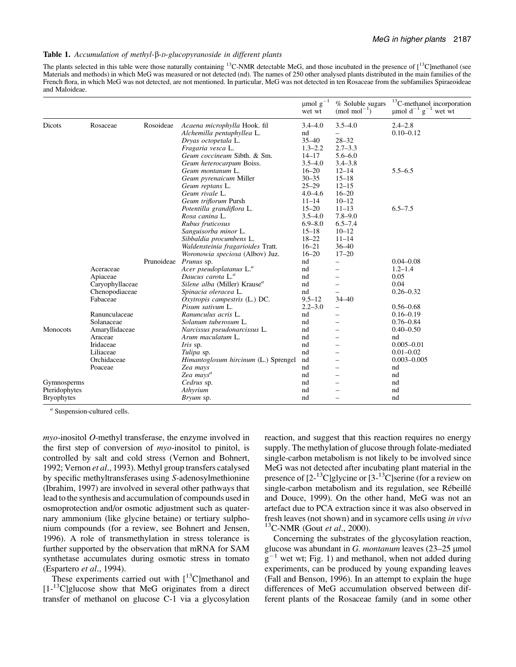#### Table 1. Accumulation of methyl- $\beta$ -D-glucopyranoside in different plants

The plants selected in this table were those naturally containing <sup>13</sup>C-NMR detectable MeG, and those incubated in the presence of  $\lceil^{13}$ C methanol (see Materials and methods) in which MeG was measured or not detected (nd). The names of 250 other analysed plants distributed in the main families of the French flora, in which MeG was not detected, are not mentioned. In particular, MeG was not detected in ten Rosaceae from the subfamilies Spiraeoideae and Maloideae.

|                   |                 |            |                                          | $\mu$ molg <sup>-1</sup><br>wet wt | % Soluble sugars<br>$(mod \text{ mol}^{-1})$ | <sup>13</sup> C-methanol incorporation<br>$\mu$ mol d <sup>-1</sup> g <sup>-1</sup> wet wt |
|-------------------|-----------------|------------|------------------------------------------|------------------------------------|----------------------------------------------|--------------------------------------------------------------------------------------------|
| Dicots            | Rosaceae        | Rosoideae  | Acaena microphylla Hook. fil             | $3.4 - 4.0$                        | $3.5 - 4.0$                                  | $2.4 - 2.8$                                                                                |
|                   |                 |            | Alchemilla pentaphyllea L.               | nd                                 | $\overline{\phantom{0}}$                     | $0.10 - 0.12$                                                                              |
|                   |                 |            | Dryas octopetala L.                      | $35 - 40$                          | $28 - 32$                                    |                                                                                            |
|                   |                 |            | Fragaria vesca L.                        | $1.3 - 2.2$                        | $2.7 - 3.3$                                  |                                                                                            |
|                   |                 |            | Geum coccineum Sibth. & Sm.              | $14 - 17$                          | $5.6 - 6.0$                                  |                                                                                            |
|                   |                 |            | Geum heterocarpum Boiss.                 | $3.5 - 4.0$                        | $3.4 - 3.8$                                  |                                                                                            |
|                   |                 |            | Geum montanum L.                         | $16 - 20$                          | $12 - 14$                                    | $5.5 - 6.5$                                                                                |
|                   |                 |            | Geum pyrenaicum Miller                   | $30 - 35$                          | $15 - 18$                                    |                                                                                            |
|                   |                 |            | Geum reptans L.                          | $25 - 29$                          | $12 - 15$                                    |                                                                                            |
|                   |                 |            | Geum rivale L.                           | $4.0 - 4.6$                        | $16 - 20$                                    |                                                                                            |
|                   |                 |            | Geum triflorum Pursh                     | $11 - 14$                          | $10 - 12$                                    |                                                                                            |
|                   |                 |            | Potentilla grandiflora L.                | $15 - 20$                          | $11 - 13$                                    | $6.5 - 7.5$                                                                                |
|                   |                 |            | Rosa canina L.                           | $3.5 - 4.0$                        | $7.8 - 9.0$                                  |                                                                                            |
|                   |                 |            | Rubus fruticosus                         | $6.9 - 8.0$                        | $6.5 - 7.4$                                  |                                                                                            |
|                   |                 |            | Sanguisorba minor L.                     | $15 - 18$                          | $10 - 12$                                    |                                                                                            |
|                   |                 |            | Sibbaldia procumbens L.                  | $18 - 22$                          | $11 - 14$                                    |                                                                                            |
|                   |                 |            | Waldensteinia fragarioides Tratt.        | $16 - 21$                          | $36 - 40$                                    |                                                                                            |
|                   |                 |            | Woronowia speciosa (Albov) Juz.          | $16 - 20$                          | $17 - 20$                                    |                                                                                            |
|                   |                 | Prunoideae | Prunus sp.                               | nd                                 |                                              | $0.04 - 0.08$                                                                              |
|                   | Aceraceae       |            | Acer pseudoplatanus L. <sup>a</sup>      | nd                                 |                                              | $1.2 - 1.4$                                                                                |
|                   | Apiaceae        |            | Daucus carota L. <sup>a</sup>            | nd                                 |                                              | 0.05                                                                                       |
|                   | Caryophyllaceae |            | Silene alba (Miller) Krause <sup>a</sup> | nd                                 | $\overline{\phantom{0}}$                     | 0.04                                                                                       |
|                   | Chenopodiaceae  |            | Spinacia oleracea L.                     | nd                                 | -                                            | $0.26 - 0.32$                                                                              |
|                   | Fabaceae        |            | Oxytropis campestris (L.) DC.            | $9.5 - 12$                         | $34 - 40$                                    |                                                                                            |
|                   |                 |            | Pisum sativum L.                         | $2.2 - 3.0$                        | $\overline{\phantom{0}}$                     | $0.56 - 0.68$                                                                              |
|                   | Ranunculaceae   |            | Ranunculus acris L.                      | nd                                 |                                              | $0.16 - 0.19$                                                                              |
|                   | Solanaceae      |            | Solanum tuberosum L.                     | nd                                 |                                              | $0.76 - 0.84$                                                                              |
| Monocots          | Amaryllidaceae  |            | Narcissus pseudonarcissus L.             | nd                                 | -                                            | $0.40 - 0.50$                                                                              |
|                   | Araceae         |            | Arum maculatum L.                        | nd                                 |                                              | nd                                                                                         |
|                   | Iridaceae       |            | Iris sp.                                 | nd                                 |                                              | $0.005 - 0.01$                                                                             |
|                   | Liliaceae       |            | Tulipa sp.                               | nd                                 |                                              | $0.01 - 0.02$                                                                              |
|                   | Orchidaceae     |            | Himantoglosum hircinum (L.) Sprengel nd  |                                    |                                              | $0.003 - 0.005$                                                                            |
|                   | Poaceae         |            | Zea mays                                 | nd                                 |                                              | nd                                                                                         |
|                   |                 |            | Zea mays <sup>a</sup>                    | nd                                 |                                              | nd                                                                                         |
| Gymnosperms       |                 |            | Cedrus sp.                               | nd                                 | -                                            | nd                                                                                         |
| Pteridophytes     |                 |            | Athyrium                                 | nd                                 |                                              | nd                                                                                         |
| <b>Bryophytes</b> |                 |            | <i>Bryum</i> sp.                         | nd                                 |                                              | nd                                                                                         |

<sup>a</sup> Suspension-cultured cells.

myo-inositol O-methyl transferase, the enzyme involved in the first step of conversion of myo-inositol to pinitol, is controlled by salt and cold stress (Vernon and Bohnert, 1992; Vernon et al., 1993). Methyl group transfers catalysed by specific methyltransferases using S-adenosylmethionine (Ibrahim, 1997) are involved in several other pathways that lead to the synthesis and accumulation of compounds used in osmoprotection and/or osmotic adjustment such as quaternary ammonium (like glycine betaine) or tertiary sulphonium compounds (for a review, see Bohnert and Jensen, 1996). A role of transmethylation in stress tolerance is further supported by the observation that mRNA for SAM synthetase accumulates during osmotic stress in tomato (Espartero et al., 1994).

These experiments carried out with  $[^{13}C]$ methanol and  $[1<sup>13</sup>C]$ glucose show that MeG originates from a direct transfer of methanol on glucose C-1 via a glycosylation

reaction, and suggest that this reaction requires no energy supply. The methylation of glucose through folate-mediated single-carbon metabolism is not likely to be involved since MeG was not detected after incubating plant material in the presence of  $[2^{-13}C]$ glycine or  $[3^{-13}C]$ serine (for a review on single-carbon metabolism and its regulation, see Rébeillé and Douce, 1999). On the other hand, MeG was not an artefact due to PCA extraction since it was also observed in fresh leaves (not shown) and in sycamore cells using in vivo  $^{13}$ C-NMR (Gout *et al.*, 2000).

Concerning the substrates of the glycosylation reaction, glucose was abundant in  $G$ . *montanum* leaves  $(23-25 \text{ µmol})$  $\mathbf{g}^{-1}$  wet wt; Fig. 1) and methanol, when not added during experiments, can be produced by young expanding leaves (Fall and Benson, 1996). In an attempt to explain the huge differences of MeG accumulation observed between different plants of the Rosaceae family (and in some other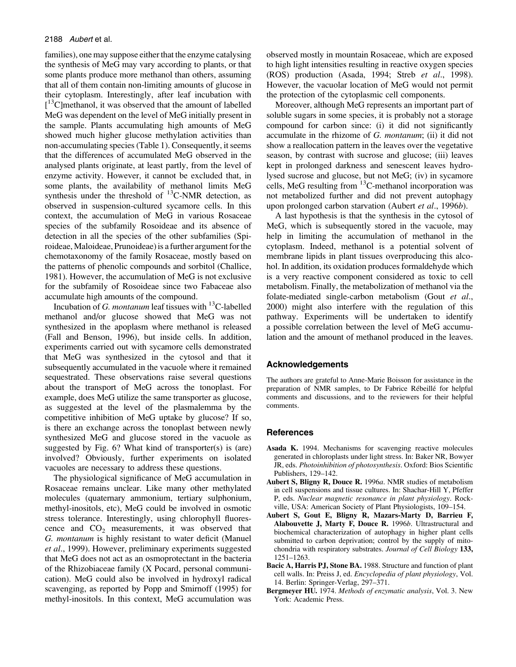families), one may suppose either that the enzyme catalysing the synthesis of MeG may vary according to plants, or that some plants produce more methanol than others, assuming that all of them contain non-limiting amounts of glucose in their cytoplasm. Interestingly, after leaf incubation with [<sup>13</sup>C]methanol, it was observed that the amount of labelled MeG was dependent on the level of MeG initially present in the sample. Plants accumulating high amounts of MeG showed much higher glucose methylation activities than non-accumulating species (Table 1). Consequently, it seems that the differences of accumulated MeG observed in the analysed plants originate, at least partly, from the level of enzyme activity. However, it cannot be excluded that, in some plants, the availability of methanol limits MeG synthesis under the threshold of  $^{13}$ C-NMR detection, as observed in suspension-cultured sycamore cells. In this context, the accumulation of MeG in various Rosaceae species of the subfamily Rosoideae and its absence of detection in all the species of the other subfamilies (Spiroideae, Maloideae, Prunoideae) is a further argument for the chemotaxonomy of the family Rosaceae, mostly based on the patterns of phenolic compounds and sorbitol (Challice, 1981). However, the accumulation of MeG is not exclusive for the subfamily of Rosoideae since two Fabaceae also accumulate high amounts of the compound.

Incubation of G. montanum leaf tissues with  $^{13}$ C-labelled methanol and/or glucose showed that MeG was not synthesized in the apoplasm where methanol is released (Fall and Benson, 1996), but inside cells. In addition, experiments carried out with sycamore cells demonstrated that MeG was synthesized in the cytosol and that it subsequently accumulated in the vacuole where it remained sequestrated. These observations raise several questions about the transport of MeG across the tonoplast. For example, does MeG utilize the same transporter as glucose, as suggested at the level of the plasmalemma by the competitive inhibition of MeG uptake by glucose? If so, is there an exchange across the tonoplast between newly synthesized MeG and glucose stored in the vacuole as suggested by Fig. 6? What kind of transporter(s) is (are) involved? Obviously, further experiments on isolated vacuoles are necessary to address these questions.

The physiological significance of MeG accumulation in Rosaceae remains unclear. Like many other methylated molecules (quaternary ammonium, tertiary sulphonium, methyl-inositols, etc), MeG could be involved in osmotic stress tolerance. Interestingly, using chlorophyll fluorescence and  $CO<sub>2</sub>$  measurements, it was observed that G. montanum is highly resistant to water deficit (Manuel et al., 1999). However, preliminary experiments suggested that MeG does not act as an osmoprotectant in the bacteria of the Rhizobiaceae family (X Pocard, personal communication). MeG could also be involved in hydroxyl radical scavenging, as reported by Popp and Smirnoff (1995) for methyl-inositols. In this context, MeG accumulation was observed mostly in mountain Rosaceae, which are exposed to high light intensities resulting in reactive oxygen species (ROS) production (Asada, 1994; Streb et al., 1998). However, the vacuolar location of MeG would not permit the protection of the cytoplasmic cell components.

Moreover, although MeG represents an important part of soluble sugars in some species, it is probably not a storage compound for carbon since: (i) it did not significantly accumulate in the rhizome of G. montanum; (ii) it did not show a reallocation pattern in the leaves over the vegetative season, by contrast with sucrose and glucose; (iii) leaves kept in prolonged darkness and senescent leaves hydrolysed sucrose and glucose, but not MeG; (iv) in sycamore cells, MeG resulting from  $^{13}$ C-methanol incorporation was not metabolized further and did not prevent autophagy upon prolonged carbon starvation (Aubert et al., 1996b).

A last hypothesis is that the synthesis in the cytosol of MeG, which is subsequently stored in the vacuole, may help in limiting the accumulation of methanol in the cytoplasm. Indeed, methanol is a potential solvent of membrane lipids in plant tissues overproducing this alcohol. In addition, its oxidation produces formaldehyde which is a very reactive component considered as toxic to cell metabolism. Finally, the metabolization of methanol via the folate-mediated single-carbon metabolism (Gout et al., 2000) might also interfere with the regulation of this pathway. Experiments will be undertaken to identify a possible correlation between the level of MeG accumulation and the amount of methanol produced in the leaves.

#### Acknowledgements

The authors are grateful to Anne-Marie Boisson for assistance in the preparation of NMR samples, to Dr Fabrice Rébeillé for helpful comments and discussions, and to the reviewers for their helpful comments.

#### **References**

- Asada K. 1994. Mechanisms for scavenging reactive molecules generated in chloroplasts under light stress. In: Baker NR, Bowyer JR, eds. Photoinhibition of photosynthesis. Oxford: Bios Scientific Publishers, 129–142.
- Aubert S, Bligny R, Douce R. 1996a. NMR studies of metabolism in cell suspensions and tissue cultures. In: Shachar-Hill Y, Pfeffer P, eds. Nuclear magnetic resonance in plant physiology. Rockville, USA: American Society of Plant Physiologists, 109–154.
- Aubert S, Gout E, Bligny R, Mazars-Marty D, Barrieu F, Alabouvette J, Marty F, Douce R. 1996b. Ultrastructural and biochemical characterization of autophagy in higher plant cells submitted to carbon deprivation; control by the supply of mitochondria with respiratory substrates. Journal of Cell Biology 133, 1251–1263.
- Bacic A, Harris PJ, Stone BA. 1988. Structure and function of plant cell walls. In: Preiss J, ed. Encyclopedia of plant physiology, Vol. 14. Berlin: Springer-Verlag, 297–371.
- Bergmeyer HU. 1974. Methods of enzymatic analysis, Vol. 3. New York: Academic Press.